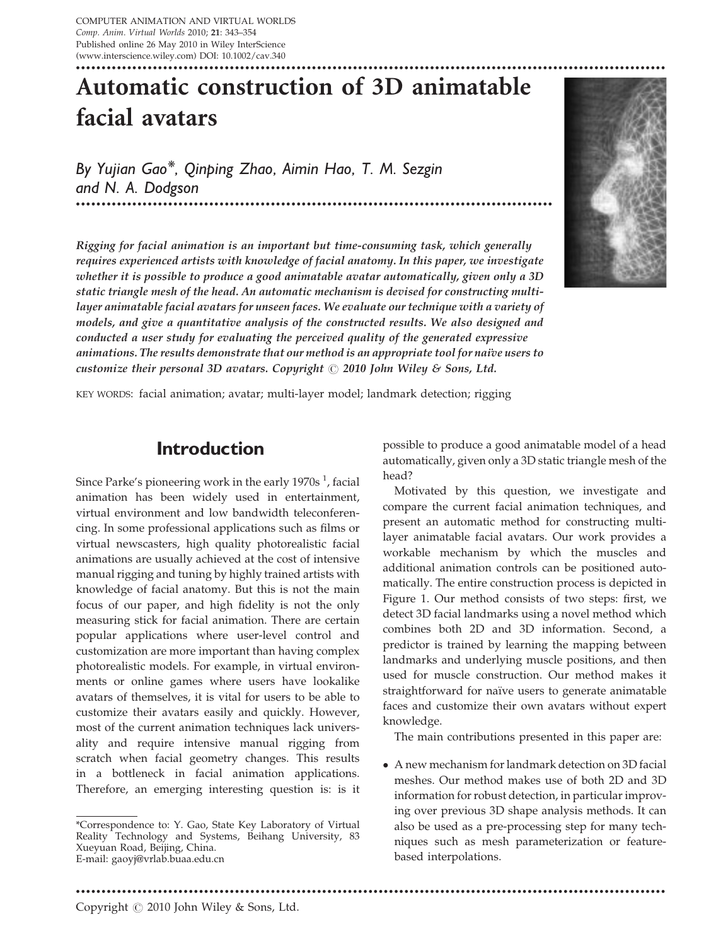# Automatic construction of 3D animatable facial avatars

By Yujian Gao\*, Qinping Zhao, Aimin Hao, T. M. Sezgin and N. A. Dodgson

Rigging for facial animation is an important but time-consuming task, which generally requires experienced artists with knowledge of facial anatomy. In this paper, we investigate whether it is possible to produce a good animatable avatar automatically, given only a 3D static triangle mesh of the head. An automatic mechanism is devised for constructing multilayer animatable facial avatars for unseen faces. We evaluate our technique with a variety of models, and give a quantitative analysis of the constructed results. We also designed and conducted a user study for evaluating the perceived quality of the generated expressive animations. The results demonstrate that our method is an appropriate tool for naive users to customize their personal 3D avatars. Copyright  $\odot$  2010 John Wiley & Sons, Ltd.

\*\*\*\*\*\*\*\*\*\*\*\*\*\*\*\*\*\*\*\*\*\*\*\*\*\*\*\*\*\*\*\*\*\*\*\*\*\*\*\*\*\*\*\*\*\*\*\*\*\*\*\*\*\*\*\*\*\*\*\*\*\*\*\*\*\*\*\*\*\*\*\*\*\*\*\*\*\*\*\*\*\*\*\*\*\*\*\*\*\*\*\*\*



KEY WORDS: facial animation; avatar; multi-layer model; landmark detection; rigging

#### Introduction

Since Parke's pioneering work in the early 1970s  $^1$ , facial animation has been widely used in entertainment, virtual environment and low bandwidth teleconferencing. In some professional applications such as films or virtual newscasters, high quality photorealistic facial animations are usually achieved at the cost of intensive manual rigging and tuning by highly trained artists with knowledge of facial anatomy. But this is not the main focus of our paper, and high fidelity is not the only measuring stick for facial animation. There are certain popular applications where user-level control and customization are more important than having complex photorealistic models. For example, in virtual environments or online games where users have lookalike avatars of themselves, it is vital for users to be able to customize their avatars easily and quickly. However, most of the current animation techniques lack universality and require intensive manual rigging from scratch when facial geometry changes. This results in a bottleneck in facial animation applications. Therefore, an emerging interesting question is: is it

\*\*\*\*\*\*\*\*\*\*\*\*\*\*\*\*\*\*\*\*\*\*\*\*\*\*\*\*\*\*\*\*\*\*\*\*\*\*\*\*\*\*\*\*\*\*\*\*\*\*\*\*\*\*\*\*\*\*\*\*\*\*\*\*\*\*\*\*\*\*\*\*\*\*\*\*\*\*\*\*\*\*\*\*\*\*\*\*\*\*\*\*\*\*\*\*\*\*\*\*\*\*\*\*\*\*\*\*\*\*\*\*\*\*\*

possible to produce a good animatable model of a head automatically, given only a 3D static triangle mesh of the head?

Motivated by this question, we investigate and compare the current facial animation techniques, and present an automatic method for constructing multilayer animatable facial avatars. Our work provides a workable mechanism by which the muscles and additional animation controls can be positioned automatically. The entire construction process is depicted in Figure 1. Our method consists of two steps: first, we detect 3D facial landmarks using a novel method which combines both 2D and 3D information. Second, a predictor is trained by learning the mapping between landmarks and underlying muscle positions, and then used for muscle construction. Our method makes it straightforward for naïve users to generate animatable faces and customize their own avatars without expert knowledge.

The main contributions presented in this paper are:

 A new mechanism for landmark detection on 3D facial meshes. Our method makes use of both 2D and 3D information for robust detection, in particular improving over previous 3D shape analysis methods. It can also be used as a pre-processing step for many techniques such as mesh parameterization or featurebased interpolations.

Copyright  $\odot$  2010 John Wiley & Sons, Ltd.

<sup>\*</sup>Correspondence to: Y. Gao, State Key Laboratory of Virtual Reality Technology and Systems, Beihang University, 83 Xueyuan Road, Beijing, China. E-mail: gaoyj@vrlab.buaa.edu.cn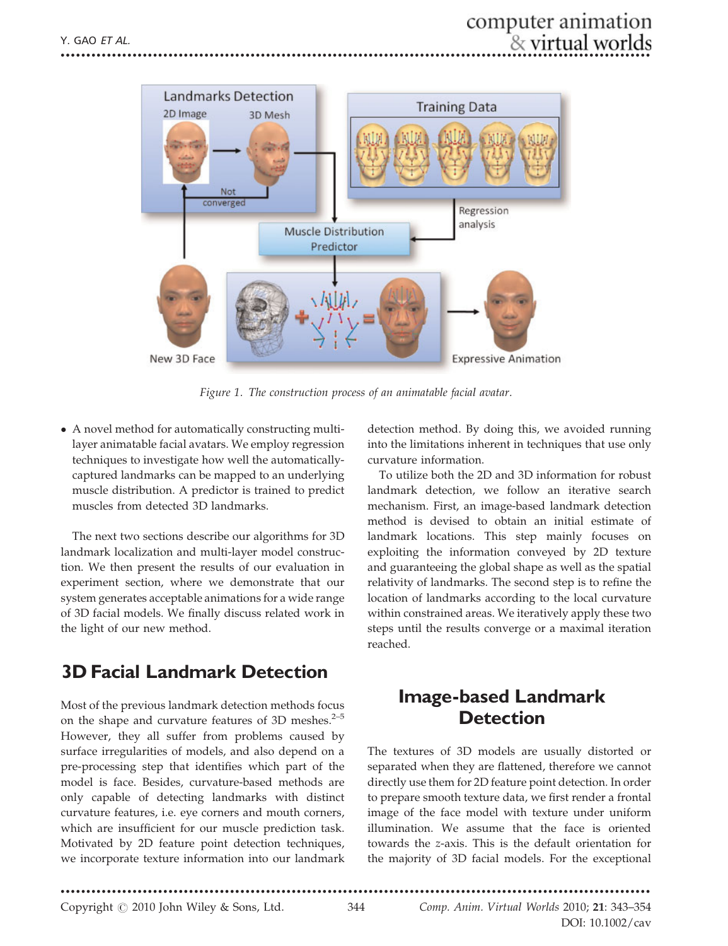

Figure 1. The construction process of an animatable facial avatar.

 A novel method for automatically constructing multilayer animatable facial avatars. We employ regression techniques to investigate how well the automaticallycaptured landmarks can be mapped to an underlying muscle distribution. A predictor is trained to predict muscles from detected 3D landmarks.

The next two sections describe our algorithms for 3D landmark localization and multi-layer model construction. We then present the results of our evaluation in experiment section, where we demonstrate that our system generates acceptable animations for a wide range of 3D facial models. We finally discuss related work in the light of our new method.

# 3D Facial Landmark Detection

Most of the previous landmark detection methods focus on the shape and curvature features of 3D meshes.<sup>2-5</sup> However, they all suffer from problems caused by surface irregularities of models, and also depend on a pre-processing step that identifies which part of the model is face. Besides, curvature-based methods are only capable of detecting landmarks with distinct curvature features, i.e. eye corners and mouth corners, which are insufficient for our muscle prediction task. Motivated by 2D feature point detection techniques, we incorporate texture information into our landmark detection method. By doing this, we avoided running into the limitations inherent in techniques that use only curvature information.

To utilize both the 2D and 3D information for robust landmark detection, we follow an iterative search mechanism. First, an image-based landmark detection method is devised to obtain an initial estimate of landmark locations. This step mainly focuses on exploiting the information conveyed by 2D texture and guaranteeing the global shape as well as the spatial relativity of landmarks. The second step is to refine the location of landmarks according to the local curvature within constrained areas. We iteratively apply these two steps until the results converge or a maximal iteration reached.

# Image-based Landmark **Detection**

The textures of 3D models are usually distorted or separated when they are flattened, therefore we cannot directly use them for 2D feature point detection. In order to prepare smooth texture data, we first render a frontal image of the face model with texture under uniform illumination. We assume that the face is oriented towards the z-axis. This is the default orientation for the majority of 3D facial models. For the exceptional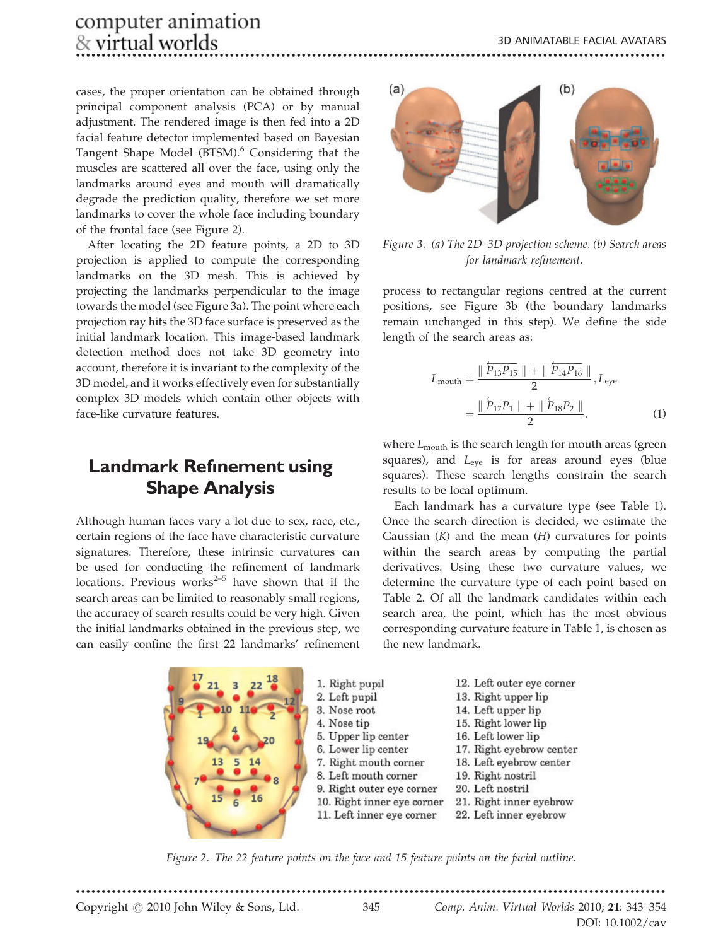cases, the proper orientation can be obtained through principal component analysis (PCA) or by manual adjustment. The rendered image is then fed into a 2D facial feature detector implemented based on Bayesian Tangent Shape Model (BTSM).<sup>6</sup> Considering that the muscles are scattered all over the face, using only the landmarks around eyes and mouth will dramatically degrade the prediction quality, therefore we set more landmarks to cover the whole face including boundary of the frontal face (see Figure 2).

After locating the 2D feature points, a 2D to 3D projection is applied to compute the corresponding landmarks on the 3D mesh. This is achieved by projecting the landmarks perpendicular to the image towards the model (see Figure 3a). The point where each projection ray hits the 3D face surface is preserved as the initial landmark location. This image-based landmark detection method does not take 3D geometry into account, therefore it is invariant to the complexity of the 3D model, and it works effectively even for substantially complex 3D models which contain other objects with face-like curvature features.

# **Landmark Refinement using** Shape Analysis

Although human faces vary a lot due to sex, race, etc., certain regions of the face have characteristic curvature signatures. Therefore, these intrinsic curvatures can be used for conducting the refinement of landmark locations. Previous works $2-5$  have shown that if the search areas can be limited to reasonably small regions, the accuracy of search results could be very high. Given the initial landmarks obtained in the previous step, we can easily confine the first 22 landmarks' refinement





Figure 3. (a) The 2D–3D projection scheme. (b) Search areas for landmark refinement.

process to rectangular regions centred at the current positions, see Figure 3b (the boundary landmarks remain unchanged in this step). We define the side length of the search areas as:

$$
L_{\text{mouth}} = \frac{\parallel \overleftarrow{P_{13}P_{15}} \parallel + \parallel \overleftarrow{P_{14}P_{16}} \parallel}{2}, L_{\text{eye}}
$$

$$
= \frac{\parallel \overleftarrow{P_{17}P_1} \parallel + \parallel \overleftarrow{P_{18}P_2} \parallel}{2}.
$$
(1)

where  $L_{\text{mouth}}$  is the search length for mouth areas (green squares), and  $L_{eye}$  is for areas around eyes (blue squares). These search lengths constrain the search results to be local optimum.

Each landmark has a curvature type (see Table 1). Once the search direction is decided, we estimate the Gaussian  $(K)$  and the mean  $(H)$  curvatures for points within the search areas by computing the partial derivatives. Using these two curvature values, we determine the curvature type of each point based on Table 2. Of all the landmark candidates within each search area, the point, which has the most obvious corresponding curvature feature in Table 1, is chosen as the new landmark.

- 12. Left outer eye corner
- 13. Right upper lip
- 14. Left upper lip
- 15. Right lower lip
- 16. Left lower lip
- 17. Right eyebrow center
- 18. Left eyebrow center
- 19. Right nostril
- 
- 20. Left nostril
- 21. Right inner eyebrow
- 22. Left inner eyebrow

Figure 2. The 22 feature points on the face and 15 feature points on the facial outline.

Copyright  $\odot$  2010 John Wiley & Sons, Ltd. 345 Comp. Anim. Virtual Worlds 2010; 21: 343–354

DOI: 10.1002/cav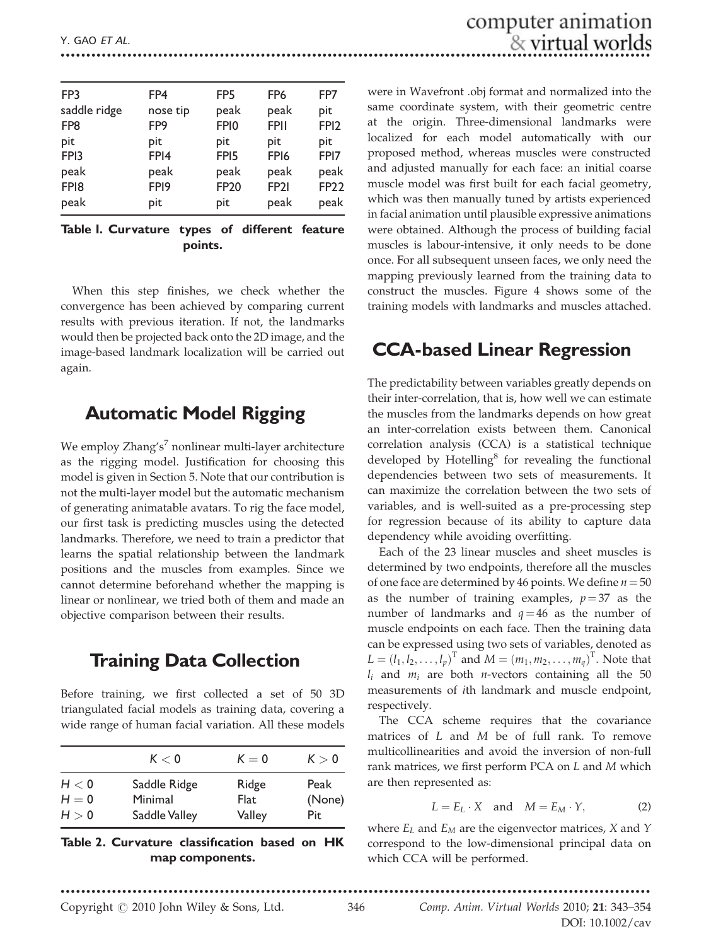| FP3              | FP4              | FP <sub>5</sub>  | FP <sub>6</sub>  | FP7              |
|------------------|------------------|------------------|------------------|------------------|
| saddle ridge     | nose tip         | peak             | peak             | pit              |
| FP8              | FP <sub>9</sub>  | FPI <sub>0</sub> | <b>FPII</b>      | FPI <sub>2</sub> |
| pit              | pit              | pit              | pit              | pit              |
| FP <sub>13</sub> | FPI4             | FPI <sub>5</sub> | FP <sub>16</sub> | FPI7             |
| peak             | peak             | peak             | peak             | peak             |
| FPI <sub>8</sub> | FP <sub>19</sub> | <b>FP20</b>      | FP <sub>21</sub> | <b>FP22</b>      |
| peak             | pit              | pit              | peak             | peak             |

#### Table 1. Curvature types of different feature points.

When this step finishes, we check whether the convergence has been achieved by comparing current results with previous iteration. If not, the landmarks would then be projected back onto the 2D image, and the image-based landmark localization will be carried out again.

### Automatic Model Rigging

We employ  $Z$ hang's<sup>7</sup> nonlinear multi-layer architecture as the rigging model. Justification for choosing this model is given in Section 5. Note that our contribution is not the multi-layer model but the automatic mechanism of generating animatable avatars. To rig the face model, our first task is predicting muscles using the detected landmarks. Therefore, we need to train a predictor that learns the spatial relationship between the landmark positions and the muscles from examples. Since we cannot determine beforehand whether the mapping is linear or nonlinear, we tried both of them and made an objective comparison between their results.

#### Training Data Collection

Before training, we first collected a set of 50 3D triangulated facial models as training data, covering a wide range of human facial variation. All these models

|         | K < 0         | $K=0$  | K > 0  |
|---------|---------------|--------|--------|
| H < 0   | Saddle Ridge  | Ridge  | Peak   |
| $H = 0$ | Minimal       | Flat   | (None) |
| H > 0   | Saddle Valley | Valley | Pit    |

#### Table 2. Curvature classification based on HK map components.

were in Wavefront .obj format and normalized into the same coordinate system, with their geometric centre at the origin. Three-dimensional landmarks were localized for each model automatically with our proposed method, whereas muscles were constructed and adjusted manually for each face: an initial coarse muscle model was first built for each facial geometry, which was then manually tuned by artists experienced in facial animation until plausible expressive animations were obtained. Although the process of building facial muscles is labour-intensive, it only needs to be done once. For all subsequent unseen faces, we only need the mapping previously learned from the training data to construct the muscles. Figure 4 shows some of the training models with landmarks and muscles attached.

### CCA-based Linear Regression

The predictability between variables greatly depends on their inter-correlation, that is, how well we can estimate the muscles from the landmarks depends on how great an inter-correlation exists between them. Canonical correlation analysis (CCA) is a statistical technique developed by Hotelling $\delta$  for revealing the functional dependencies between two sets of measurements. It can maximize the correlation between the two sets of variables, and is well-suited as a pre-processing step for regression because of its ability to capture data dependency while avoiding overfitting.

Each of the 23 linear muscles and sheet muscles is determined by two endpoints, therefore all the muscles of one face are determined by 46 points. We define  $n = 50$ as the number of training examples,  $p = 37$  as the number of landmarks and  $q = 46$  as the number of muscle endpoints on each face. Then the training data can be expressed using two sets of variables, denoted as  $L = (l_1, l_2, \dots, l_p)^T$  and  $M = (m_1, m_2, \dots, m_q)^T$ . Note that  $l_i$  and  $m_i$  are both *n*-vectors containing all the 50 measurements of ith landmark and muscle endpoint, respectively.

The CCA scheme requires that the covariance matrices of L and M be of full rank. To remove multicollinearities and avoid the inversion of non-full rank matrices, we first perform PCA on L and M which are then represented as:

$$
L = E_L \cdot X \quad \text{and} \quad M = E_M \cdot Y, \tag{2}
$$

where  $E_L$  and  $E_M$  are the eigenvector matrices, X and Y correspond to the low-dimensional principal data on which CCA will be performed.

DOI: 10.1002/cav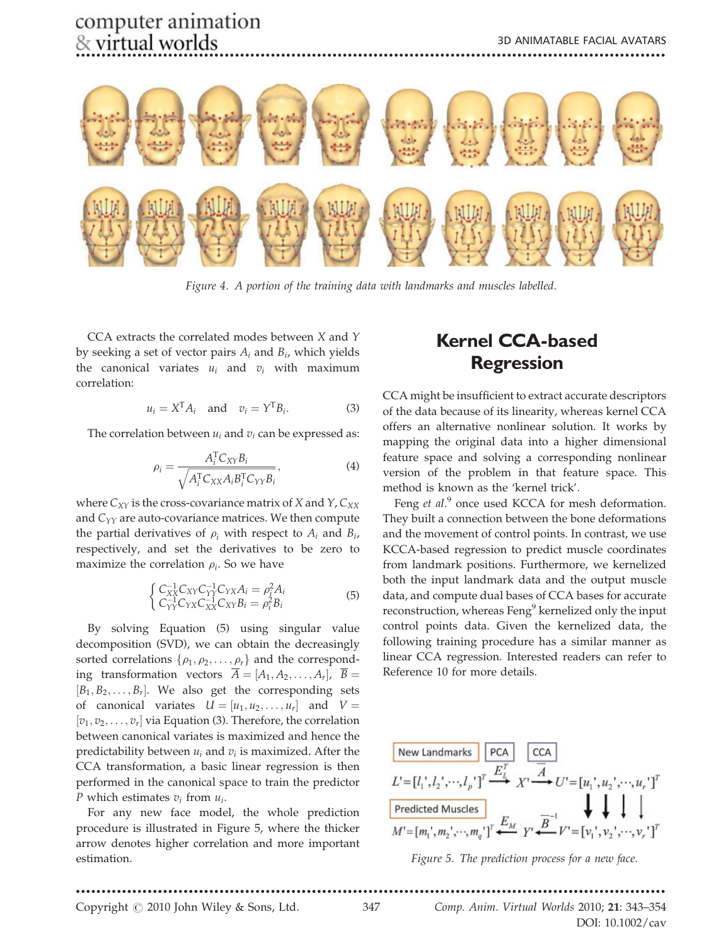

Figure 4. A portion of the training data with landmarks and muscles labelled.

CCA extracts the correlated modes between X and Y by seeking a set of vector pairs  $A_i$  and  $B_i$ , which yields the canonical variates  $u_i$  and  $v_i$  with maximum correlation:

$$
u_i = X^{\mathrm{T}} A_i \quad \text{and} \quad v_i = Y^{\mathrm{T}} B_i. \tag{3}
$$

The correlation between  $u_i$  and  $v_i$  can be expressed as:

$$
\rho_i = \frac{A_i^{\mathrm{T}} C_{XY} B_i}{\sqrt{A_i^{\mathrm{T}} C_{XX} A_i B_i^{\mathrm{T}} C_{YY} B_i}},\tag{4}
$$

where  $C_{XY}$  is the cross-covariance matrix of X and Y,  $C_{XX}$ and  $C_{YY}$  are auto-covariance matrices. We then compute the partial derivatives of  $\rho_i$  with respect to  $A_i$  and  $B_i$ , respectively, and set the derivatives to be zero to maximize the correlation  $\rho_i$ . So we have

$$
\begin{cases} C_{XX}^{-1}C_{XY}C_{YY}^{-1}C_{YX}A_{i} = \rho_{i}^{2}A_{i} \\ C_{YY}^{-1}C_{YX}C_{XX}^{-1}C_{XY}B_{i} = \rho_{i}^{2}B_{i} \end{cases}
$$
(5)

By solving Equation (5) using singular value decomposition (SVD), we can obtain the decreasingly sorted correlations  $\{\rho_1, \rho_2, \ldots, \rho_r\}$  and the corresponding transformation vectors  $\overline{A} = [A_1, A_2, \ldots, A_r], \ \overline{B} =$  $[B_1, B_2, \ldots, B_r]$ . We also get the corresponding sets of canonical variates  $U = [u_1, u_2, \dots, u_r]$  and  $V =$  $[v_1, v_2, \ldots, v_r]$  via Equation (3). Therefore, the correlation between canonical variates is maximized and hence the predictability between  $u_i$  and  $v_i$  is maximized. After the CCA transformation, a basic linear regression is then performed in the canonical space to train the predictor P which estimates  $v_i$  from  $u_i$ .

For any new face model, the whole prediction procedure is illustrated in Figure 5, where the thicker arrow denotes higher correlation and more important estimation.

# Kernel CCA-based Regression

CCA might be insufficient to extract accurate descriptors of the data because of its linearity, whereas kernel CCA offers an alternative nonlinear solution. It works by mapping the original data into a higher dimensional feature space and solving a corresponding nonlinear version of the problem in that feature space. This method is known as the 'kernel trick'.

Feng et al.<sup>9</sup> once used KCCA for mesh deformation. They built a connection between the bone deformations and the movement of control points. In contrast, we use KCCA-based regression to predict muscle coordinates from landmark positions. Furthermore, we kernelized both the input landmark data and the output muscle data, and compute dual bases of CCA bases for accurate reconstruction, whereas Feng<sup>9</sup> kernelized only the input control points data. Given the kernelized data, the following training procedure has a similar manner as linear CCA regression. Interested readers can refer to Reference 10 for more details.



Figure 5. The prediction process for a new face.

Copyright  $\odot$  2010 John Wiley & Sons, Ltd. 347 Comp. Anim. Virtual Worlds 2010; 21: 343–354 DOI: 10.1002/cav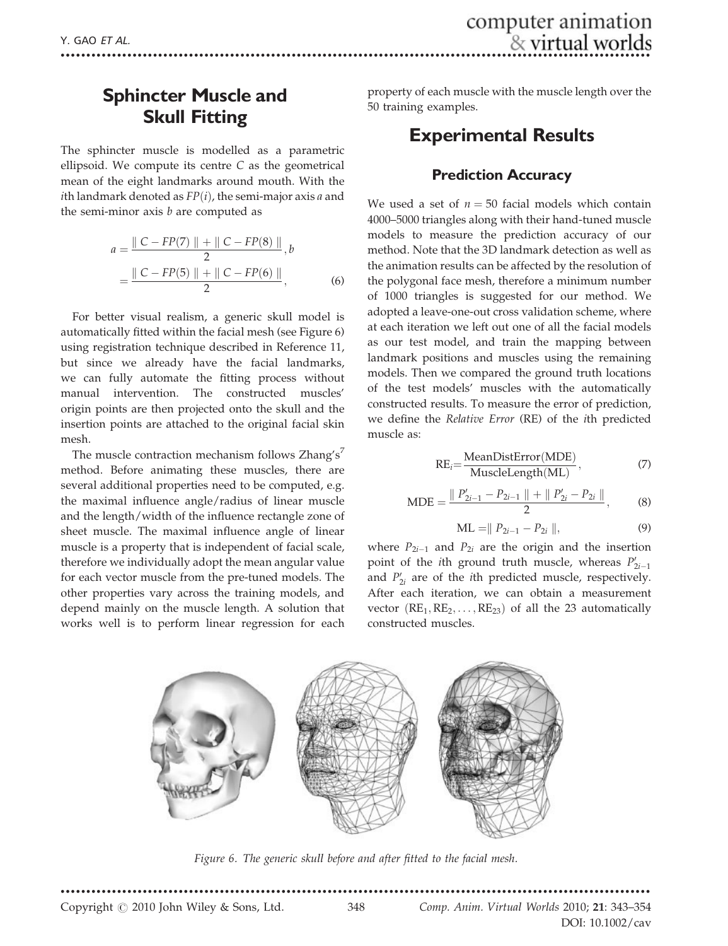# Sphincter Muscle and Skull Fitting

The sphincter muscle is modelled as a parametric ellipsoid. We compute its centre  $C$  as the geometrical mean of the eight landmarks around mouth. With the ith landmark denoted as  $FP(i)$ , the semi-major axis a and the semi-minor axis  $b$  are computed as

$$
a = \frac{\| C - FP(7) \| + \| C - FP(8) \|}{2}, b
$$
  
= 
$$
\frac{\| C - FP(5) \| + \| C - FP(6) \|}{2},
$$
 (6)

For better visual realism, a generic skull model is automatically fitted within the facial mesh (see Figure 6) using registration technique described in Reference 11, but since we already have the facial landmarks, we can fully automate the fitting process without manual intervention. The constructed muscles' origin points are then projected onto the skull and the insertion points are attached to the original facial skin mesh.

The muscle contraction mechanism follows  $Z$ hang's<sup>7</sup> method. Before animating these muscles, there are several additional properties need to be computed, e.g. the maximal influence angle/radius of linear muscle and the length/width of the influence rectangle zone of sheet muscle. The maximal influence angle of linear muscle is a property that is independent of facial scale, therefore we individually adopt the mean angular value for each vector muscle from the pre-tuned models. The other properties vary across the training models, and depend mainly on the muscle length. A solution that works well is to perform linear regression for each

property of each muscle with the muscle length over the 50 training examples.

# Experimental Results

#### Prediction Accuracy

We used a set of  $n = 50$  facial models which contain 4000–5000 triangles along with their hand-tuned muscle models to measure the prediction accuracy of our method. Note that the 3D landmark detection as well as the animation results can be affected by the resolution of the polygonal face mesh, therefore a minimum number of 1000 triangles is suggested for our method. We adopted a leave-one-out cross validation scheme, where at each iteration we left out one of all the facial models as our test model, and train the mapping between landmark positions and muscles using the remaining models. Then we compared the ground truth locations of the test models' muscles with the automatically constructed results. To measure the error of prediction, we define the Relative Error (RE) of the ith predicted muscle as:

$$
RE_i = \frac{MeanDistError(MDE)}{MusicleLength(ML)},
$$
\n(7)

$$
MDE = \frac{\| P'_{2i-1} - P_{2i-1} \| + \| P'_{2i} - P_{2i} \|}{2},
$$
 (8)

$$
ML = || P_{2i-1} - P_{2i} ||,
$$
\n(9)

where  $P_{2i-1}$  and  $P_{2i}$  are the origin and the insertion point of the *i*th ground truth muscle, whereas  $P'_{2i-1}$ point of the *i*th ground truth muscle, whereas  $Y_{2i-1}$  and  $P'_{2i}$  are of the *i*th predicted muscle, respectively. After each iteration, we can obtain a measurement vector  $(RE_1, RE_2, \ldots, RE_{23})$  of all the 23 automatically constructed muscles.



Figure 6. The generic skull before and after fitted to the facial mesh.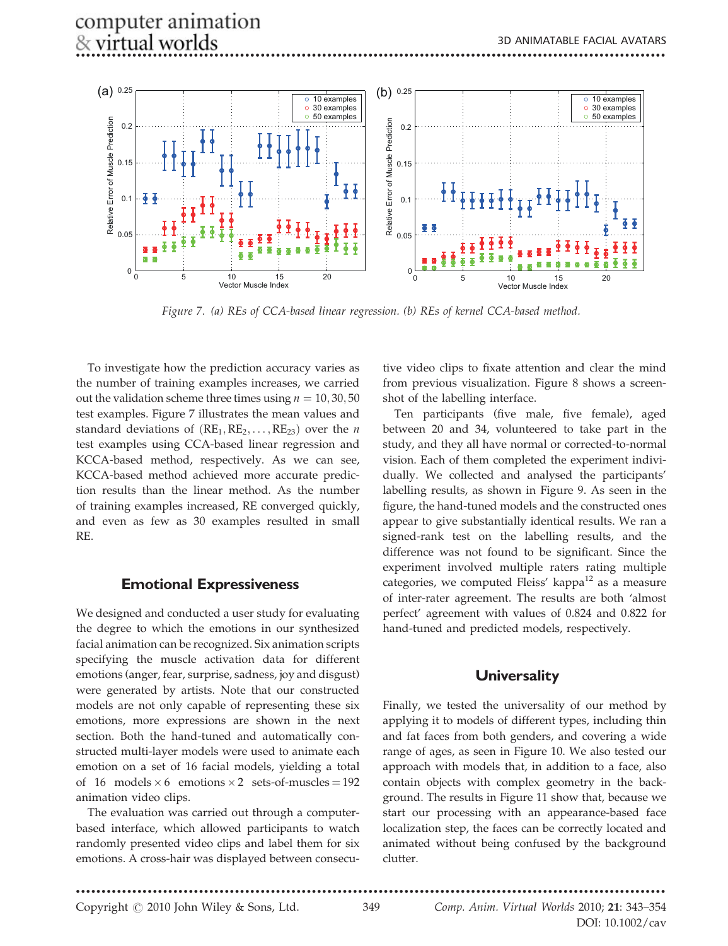

Figure 7. (a) REs of CCA-based linear regression. (b) REs of kernel CCA-based method.

To investigate how the prediction accuracy varies as the number of training examples increases, we carried out the validation scheme three times using  $n = 10, 30, 50$ test examples. Figure 7 illustrates the mean values and standard deviations of  $(RE_1, RE_2, \ldots, RE_{23})$  over the *n* test examples using CCA-based linear regression and KCCA-based method, respectively. As we can see, KCCA-based method achieved more accurate prediction results than the linear method. As the number of training examples increased, RE converged quickly, and even as few as 30 examples resulted in small RE.

#### Emotional Expressiveness

We designed and conducted a user study for evaluating the degree to which the emotions in our synthesized facial animation can be recognized. Six animation scripts specifying the muscle activation data for different emotions (anger, fear, surprise, sadness, joy and disgust) were generated by artists. Note that our constructed models are not only capable of representing these six emotions, more expressions are shown in the next section. Both the hand-tuned and automatically constructed multi-layer models were used to animate each emotion on a set of 16 facial models, yielding a total of 16 models  $\times$  6 emotions  $\times$  2 sets-of-muscles = 192 animation video clips.

The evaluation was carried out through a computerbased interface, which allowed participants to watch randomly presented video clips and label them for six emotions. A cross-hair was displayed between consecu-

tive video clips to fixate attention and clear the mind from previous visualization. Figure 8 shows a screenshot of the labelling interface.

Ten participants (five male, five female), aged between 20 and 34, volunteered to take part in the study, and they all have normal or corrected-to-normal vision. Each of them completed the experiment individually. We collected and analysed the participants' labelling results, as shown in Figure 9. As seen in the figure, the hand-tuned models and the constructed ones appear to give substantially identical results. We ran a signed-rank test on the labelling results, and the difference was not found to be significant. Since the experiment involved multiple raters rating multiple categories, we computed Fleiss' kappa $^{12}$  as a measure of inter-rater agreement. The results are both 'almost perfect' agreement with values of 0.824 and 0.822 for hand-tuned and predicted models, respectively.

#### **Universality**

Finally, we tested the universality of our method by applying it to models of different types, including thin and fat faces from both genders, and covering a wide range of ages, as seen in Figure 10. We also tested our approach with models that, in addition to a face, also contain objects with complex geometry in the background. The results in Figure 11 show that, because we start our processing with an appearance-based face localization step, the faces can be correctly located and animated without being confused by the background clutter.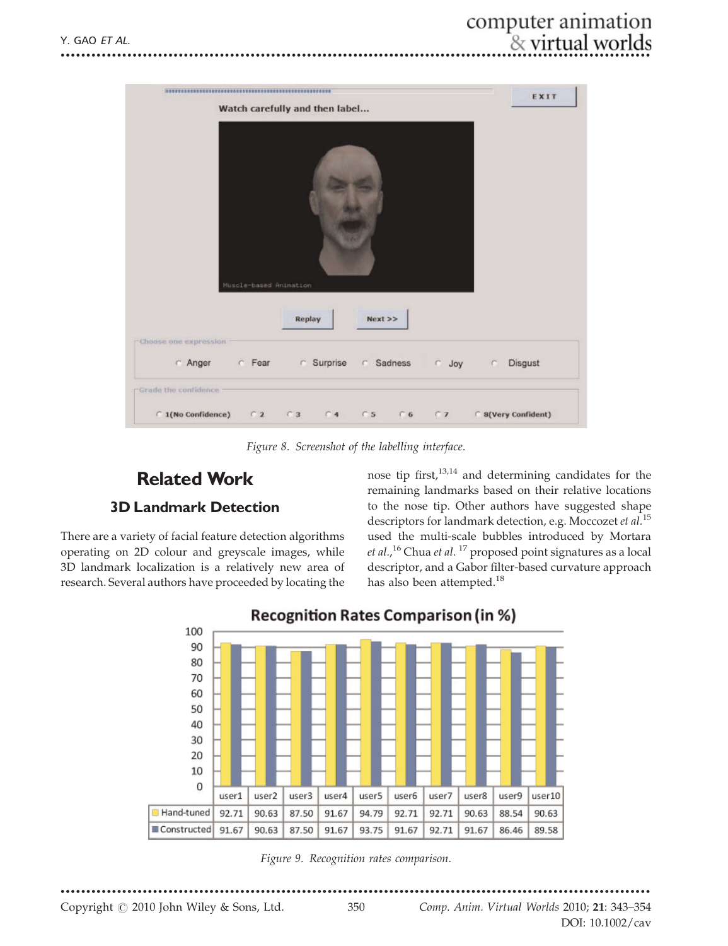

Figure 8. Screenshot of the labelling interface.

# **Related Work**

#### **3D Landmark Detection**

There are a variety of facial feature detection algorithms operating on 2D colour and greyscale images, while 3D landmark localization is a relatively new area of research. Several authors have proceeded by locating the nose tip first,<sup>13,14</sup> and determining candidates for the remaining landmarks based on their relative locations to the nose tip. Other authors have suggested shape descriptors for landmark detection, e.g. Moccozet et al.<sup>15</sup> used the multi-scale bubbles introduced by Mortara et al.,<sup>16</sup> Chua et al.<sup>17</sup> proposed point signatures as a local descriptor, and a Gabor filter-based curvature approach has also been attempted.<sup>18</sup>



**Recognition Rates Comparison (in %)** 

Figure 9. Recognition rates comparison.

Copyright © 2010 John Wiley & Sons, Ltd.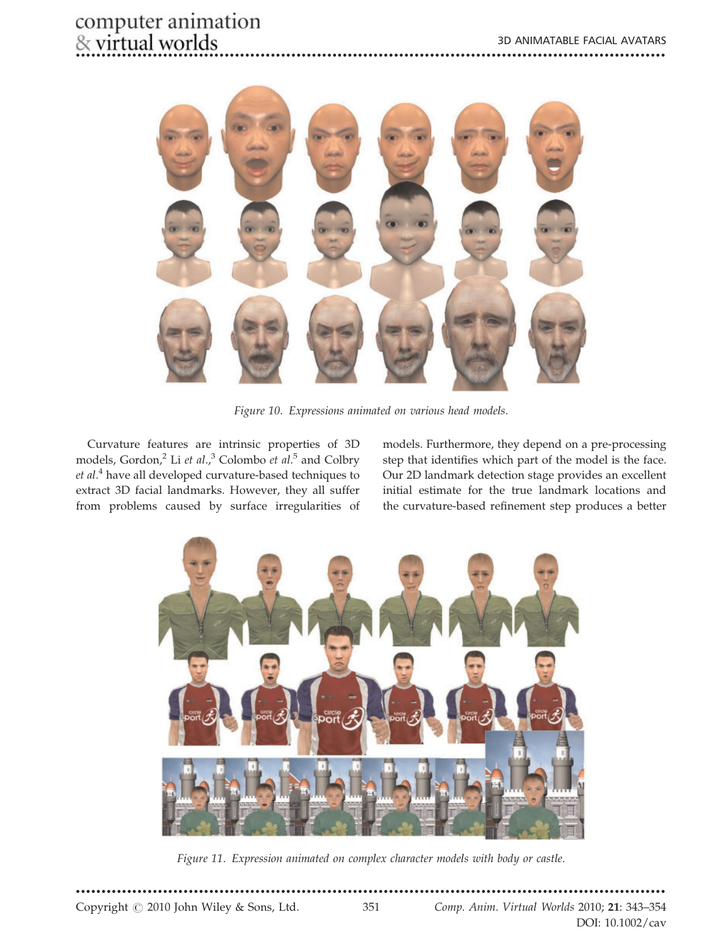# computer animation<br>& virtual worlds



Figure 10. Expressions animated on various head models.

Curvature features are intrinsic properties of 3D models, Gordon,<sup>2</sup> Li et al.,<sup>3</sup> Colombo et al.<sup>5</sup> and Colbry et al.<sup>4</sup> have all developed curvature-based techniques to extract 3D facial landmarks. However, they all suffer from problems caused by surface irregularities of models. Furthermore, they depend on a pre-processing step that identifies which part of the model is the face. Our 2D landmark detection stage provides an excellent initial estimate for the true landmark locations and the curvature-based refinement step produces a better



Figure 11. Expression animated on complex character models with body or castle.

Copyright © 2010 John Wiley & Sons, Ltd.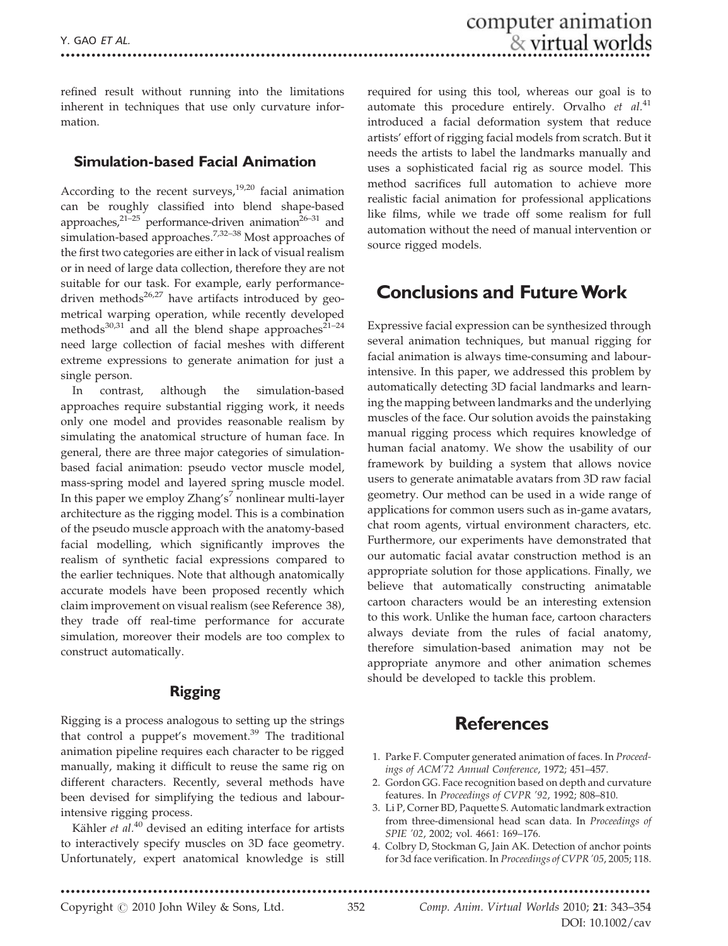refined result without running into the limitations inherent in techniques that use only curvature information.

#### Simulation-based Facial Animation

According to the recent surveys, $19,20$  facial animation can be roughly classified into blend shape-based approaches, $21-25$  performance-driven animation<sup>26-31</sup> and simulation-based approaches.<sup>7,32–38</sup> Most approaches of the first two categories are either in lack of visual realism or in need of large data collection, therefore they are not suitable for our task. For example, early performancedriven methods $26,27$  have artifacts introduced by geometrical warping operation, while recently developed methods $30,31$  and all the blend shape approaches $21-24$ need large collection of facial meshes with different extreme expressions to generate animation for just a single person.

In contrast, although the simulation-based approaches require substantial rigging work, it needs only one model and provides reasonable realism by simulating the anatomical structure of human face. In general, there are three major categories of simulationbased facial animation: pseudo vector muscle model, mass-spring model and layered spring muscle model. In this paper we employ Zhang's<sup>7</sup> nonlinear multi-layer architecture as the rigging model. This is a combination of the pseudo muscle approach with the anatomy-based facial modelling, which significantly improves the realism of synthetic facial expressions compared to the earlier techniques. Note that although anatomically accurate models have been proposed recently which claim improvement on visual realism (see Reference 38), they trade off real-time performance for accurate simulation, moreover their models are too complex to construct automatically.

#### Rigging

Rigging is a process analogous to setting up the strings that control a puppet's movement.<sup>39</sup> The traditional animation pipeline requires each character to be rigged manually, making it difficult to reuse the same rig on different characters. Recently, several methods have been devised for simplifying the tedious and labourintensive rigging process.

Kähler  $et$   $al$ .<sup>40</sup> devised an editing interface for artists to interactively specify muscles on 3D face geometry. Unfortunately, expert anatomical knowledge is still

required for using this tool, whereas our goal is to automate this procedure entirely. Orvalho  $et$   $al.^{41}$ . introduced a facial deformation system that reduce artists' effort of rigging facial models from scratch. But it needs the artists to label the landmarks manually and uses a sophisticated facial rig as source model. This method sacrifices full automation to achieve more realistic facial animation for professional applications like films, while we trade off some realism for full automation without the need of manual intervention or source rigged models.

### Conclusions and FutureWork

Expressive facial expression can be synthesized through several animation techniques, but manual rigging for facial animation is always time-consuming and labourintensive. In this paper, we addressed this problem by automatically detecting 3D facial landmarks and learning the mapping between landmarks and the underlying muscles of the face. Our solution avoids the painstaking manual rigging process which requires knowledge of human facial anatomy. We show the usability of our framework by building a system that allows novice users to generate animatable avatars from 3D raw facial geometry. Our method can be used in a wide range of applications for common users such as in-game avatars, chat room agents, virtual environment characters, etc. Furthermore, our experiments have demonstrated that our automatic facial avatar construction method is an appropriate solution for those applications. Finally, we believe that automatically constructing animatable cartoon characters would be an interesting extension to this work. Unlike the human face, cartoon characters always deviate from the rules of facial anatomy, therefore simulation-based animation may not be appropriate anymore and other animation schemes should be developed to tackle this problem.

#### **References**

- 1. Parke F. Computer generated animation of faces. In Proceedings of ACM'72 Annual Conference, 1972; 451–457.
- 2. Gordon GG. Face recognition based on depth and curvature features. In Proceedings of CVPR '92, 1992; 808–810.
- 3. Li P, Corner BD, Paquette S. Automatic landmark extraction from three-dimensional head scan data. In Proceedings of SPIE '02, 2002; vol. 4661: 169–176.
- 4. Colbry D, Stockman G, Jain AK. Detection of anchor points for 3d face verification. In Proceedings of CVPR '05, 2005; 118.

\*\*\*\*\*\*\*\*\*\*\*\*\*\*\*\*\*\*\*\*\*\*\*\*\*\*\*\*\*\*\*\*\*\*\*\*\*\*\*\*\*\*\*\*\*\*\*\*\*\*\*\*\*\*\*\*\*\*\*\*\*\*\*\*\*\*\*\*\*\*\*\*\*\*\*\*\*\*\*\*\*\*\*\*\*\*\*\*\*\*\*\*\*\*\*\*\*\*\*\*\*\*\*\*\*\*\*\*\*\*\*\*\*\*\*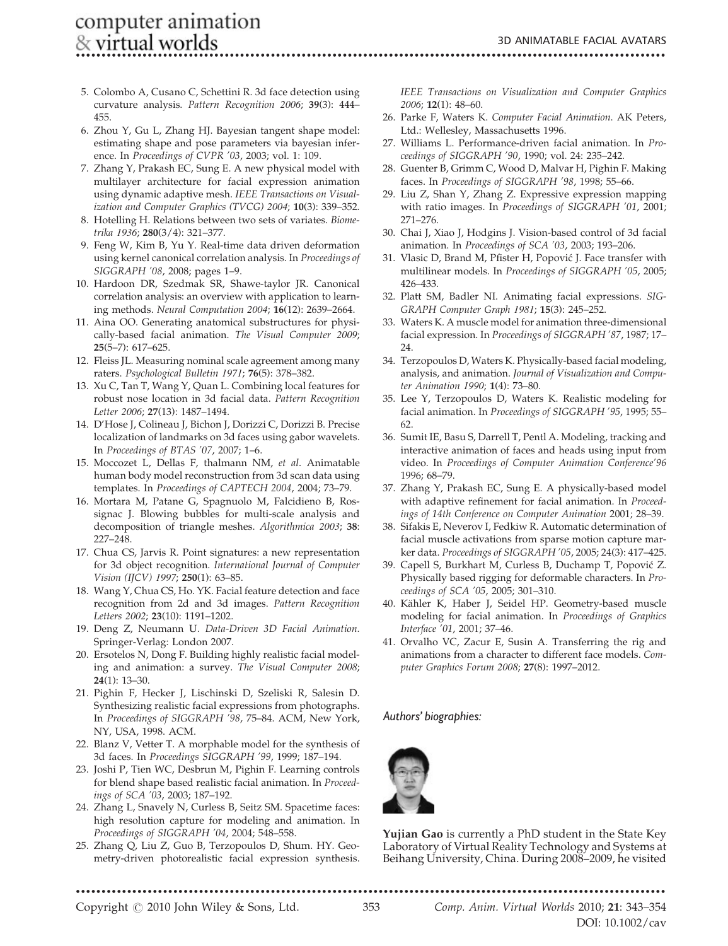\*\*\*\*\*\*\*\*\*\*\*\*\*\*\*\*\*\*\*\*\*\*\*\*\*\*\*\*\*\*\*\*\*\*\*\*\*\*\*\*\*\*\*\*\*\*\*\*\*\*\*\*\*\*\*\*\*\*\*\*\*\*\*\*\*\*\*\*\*\*\*\*\*\*\*\*\*\*\*\*\*\*\*\*\*\*\*\*\*\*\*\*\*\*\*\*\*\*\*\*\*\*\*\*\*\*\*\*\*\*\*\*\*\*\*

- 5. Colombo A, Cusano C, Schettini R. 3d face detection using curvature analysis. Pattern Recognition 2006; 39(3): 444– 455.
- 6. Zhou Y, Gu L, Zhang HJ. Bayesian tangent shape model: estimating shape and pose parameters via bayesian inference. In Proceedings of CVPR '03, 2003; vol. 1: 109.
- 7. Zhang Y, Prakash EC, Sung E. A new physical model with multilayer architecture for facial expression animation using dynamic adaptive mesh. IEEE Transactions on Visualization and Computer Graphics (TVCG) 2004; 10(3): 339–352.
- 8. Hotelling H. Relations between two sets of variates. Biometrika 1936; 280(3/4): 321–377.
- 9. Feng W, Kim B, Yu Y. Real-time data driven deformation using kernel canonical correlation analysis. In Proceedings of SIGGRAPH '08, 2008; pages 1–9.
- 10. Hardoon DR, Szedmak SR, Shawe-taylor JR. Canonical correlation analysis: an overview with application to learning methods. Neural Computation 2004; 16(12): 2639–2664.
- 11. Aina OO. Generating anatomical substructures for physically-based facial animation. The Visual Computer 2009; 25(5–7): 617–625.
- 12. Fleiss JL. Measuring nominal scale agreement among many raters. Psychological Bulletin 1971; 76(5): 378–382.
- 13. Xu C, Tan T, Wang Y, Quan L. Combining local features for robust nose location in 3d facial data. Pattern Recognition Letter 2006; 27(13): 1487–1494.
- 14. D'Hose J, Colineau J, Bichon J, Dorizzi C, Dorizzi B. Precise localization of landmarks on 3d faces using gabor wavelets. In Proceedings of BTAS '07, 2007; 1–6.
- 15. Moccozet L, Dellas F, thalmann NM, et al. Animatable human body model reconstruction from 3d scan data using templates. In Proceedings of CAPTECH 2004, 2004; 73-79.
- 16. Mortara M, Patane G, Spagnuolo M, Falcidieno B, Rossignac J. Blowing bubbles for multi-scale analysis and decomposition of triangle meshes. Algorithmica 2003; 38: 227–248.
- 17. Chua CS, Jarvis R. Point signatures: a new representation for 3d object recognition. International Journal of Computer Vision (IJCV) 1997; 250(1): 63–85.
- 18. Wang Y, Chua CS, Ho. YK. Facial feature detection and face recognition from 2d and 3d images. Pattern Recognition Letters 2002; 23(10): 1191-1202.
- 19. Deng Z, Neumann U. Data-Driven 3D Facial Animation. Springer-Verlag: London 2007.
- 20. Ersotelos N, Dong F. Building highly realistic facial modeling and animation: a survey. The Visual Computer 2008; 24(1): 13–30.
- 21. Pighin F, Hecker J, Lischinski D, Szeliski R, Salesin D. Synthesizing realistic facial expressions from photographs. In Proceedings of SIGGRAPH '98, 75–84. ACM, New York, NY, USA, 1998. ACM.
- 22. Blanz V, Vetter T. A morphable model for the synthesis of 3d faces. In Proceedings SIGGRAPH '99, 1999; 187–194.
- 23. Joshi P, Tien WC, Desbrun M, Pighin F. Learning controls for blend shape based realistic facial animation. In Proceedings of SCA '03, 2003; 187–192.
- 24. Zhang L, Snavely N, Curless B, Seitz SM. Spacetime faces: high resolution capture for modeling and animation. In Proceedings of SIGGRAPH '04, 2004; 548–558.
- 25. Zhang Q, Liu Z, Guo B, Terzopoulos D, Shum. HY. Geometry-driven photorealistic facial expression synthesis.

IEEE Transactions on Visualization and Computer Graphics 2006; 12(1): 48–60.

- 26. Parke F, Waters K. Computer Facial Animation. AK Peters, Ltd.: Wellesley, Massachusetts 1996.
- 27. Williams L. Performance-driven facial animation. In Proceedings of SIGGRAPH '90, 1990; vol. 24: 235–242.
- 28. Guenter B, Grimm C, Wood D, Malvar H, Pighin F. Making faces. In Proceedings of SIGGRAPH '98, 1998; 55–66.
- 29. Liu Z, Shan Y, Zhang Z. Expressive expression mapping with ratio images. In Proceedings of SIGGRAPH '01, 2001; 271–276.
- 30. Chai J, Xiao J, Hodgins J. Vision-based control of 3d facial animation. In Proceedings of SCA '03, 2003; 193–206.
- 31. Vlasic D, Brand M, Pfister H, Popović J. Face transfer with multilinear models. In Proceedings of SIGGRAPH '05, 2005; 426–433.
- 32. Platt SM, Badler NI. Animating facial expressions. SIG-GRAPH Computer Graph 1981; 15(3): 245–252.
- 33. Waters K. A muscle model for animation three-dimensional facial expression. In Proceedings of SIGGRAPH '87, 1987; 17– 24.
- 34. Terzopoulos D, Waters K. Physically-based facial modeling, analysis, and animation. Journal of Visualization and Computer Animation 1990; 1(4): 73–80.
- 35. Lee Y, Terzopoulos D, Waters K. Realistic modeling for facial animation. In Proceedings of SIGGRAPH '95, 1995; 55– 62.
- 36. Sumit IE, Basu S, Darrell T, Pentl A. Modeling, tracking and interactive animation of faces and heads using input from video. In Proceedings of Computer Animation Conference'96 1996; 68–79.
- 37. Zhang Y, Prakash EC, Sung E. A physically-based model with adaptive refinement for facial animation. In Proceedings of 14th Conference on Computer Animation 2001; 28–39.
- 38. Sifakis E, Neverov I, Fedkiw R. Automatic determination of facial muscle activations from sparse motion capture marker data. Proceedings of SIGGRAPH '05, 2005; 24(3): 417–425.
- 39. Capell S, Burkhart M, Curless B, Duchamp T, Popović Z. Physically based rigging for deformable characters. In Proceedings of SCA '05, 2005; 301–310.
- 40. Kähler K, Haber J, Seidel HP. Geometry-based muscle modeling for facial animation. In Proceedings of Graphics Interface '01, 2001; 37–46.
- 41. Orvalho VC, Zacur E, Susin A. Transferring the rig and animations from a character to different face models. Computer Graphics Forum 2008; 27(8): 1997–2012.

Authors' biographies:



Yujian Gao is currently a PhD student in the State Key Laboratory of Virtual Reality Technology and Systems at Beihang University, China. During 2008–2009, he visited